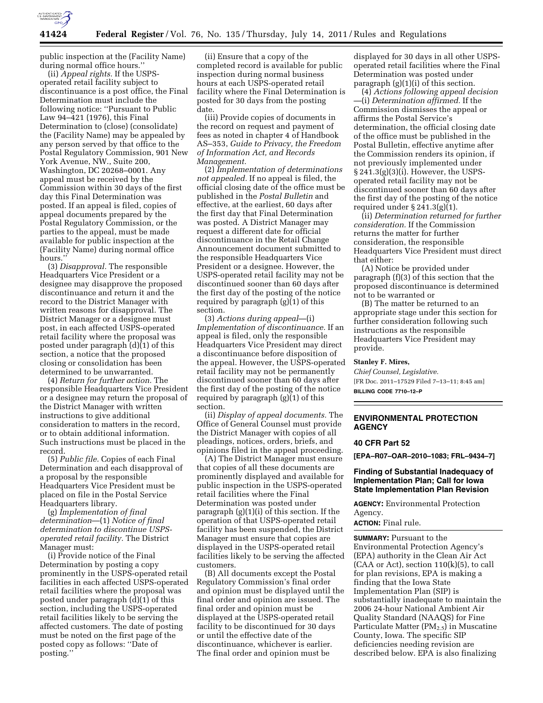

public inspection at the (Facility Name) during normal office hours.''

(ii) *Appeal rights.* If the USPSoperated retail facility subject to discontinuance is a post office, the Final Determination must include the following notice: ''Pursuant to Public Law 94–421 (1976), this Final Determination to (close) (consolidate) the (Facility Name) may be appealed by any person served by that office to the Postal Regulatory Commission, 901 New York Avenue, NW., Suite 200, Washington, DC 20268–0001. Any appeal must be received by the Commission within 30 days of the first day this Final Determination was posted. If an appeal is filed, copies of appeal documents prepared by the Postal Regulatory Commission, or the parties to the appeal, must be made available for public inspection at the (Facility Name) during normal office hours.

(3) *Disapproval.* The responsible Headquarters Vice President or a designee may disapprove the proposed discontinuance and return it and the record to the District Manager with written reasons for disapproval. The District Manager or a designee must post, in each affected USPS-operated retail facility where the proposal was posted under paragraph (d)(1) of this section, a notice that the proposed closing or consolidation has been determined to be unwarranted.

(4) *Return for further action.* The responsible Headquarters Vice President or a designee may return the proposal of the District Manager with written instructions to give additional consideration to matters in the record, or to obtain additional information. Such instructions must be placed in the record.

(5) *Public file.* Copies of each Final Determination and each disapproval of a proposal by the responsible Headquarters Vice President must be placed on file in the Postal Service Headquarters library.

(g) *Implementation of final determination*—(1) *Notice of final determination to discontinue USPSoperated retail facility.* The District Manager must:

(i) Provide notice of the Final Determination by posting a copy prominently in the USPS-operated retail facilities in each affected USPS-operated retail facilities where the proposal was posted under paragraph (d)(1) of this section, including the USPS-operated retail facilities likely to be serving the affected customers. The date of posting must be noted on the first page of the posted copy as follows: ''Date of posting.''

(ii) Ensure that a copy of the completed record is available for public inspection during normal business hours at each USPS-operated retail facility where the Final Determination is posted for 30 days from the posting date.

(iii) Provide copies of documents in the record on request and payment of fees as noted in chapter 4 of Handbook AS–353, *Guide to Privacy, the Freedom of Information Act, and Records Management.* 

(2) *Implementation of determinations not appealed.* If no appeal is filed, the official closing date of the office must be published in the *Postal Bulletin* and effective, at the earliest, 60 days after the first day that Final Determination was posted. A District Manager may request a different date for official discontinuance in the Retail Change Announcement document submitted to the responsible Headquarters Vice President or a designee. However, the USPS-operated retail facility may not be discontinued sooner than 60 days after the first day of the posting of the notice required by paragraph (g)(1) of this section.

(3) *Actions during appeal*—(i) *Implementation of discontinuance.* If an appeal is filed, only the responsible Headquarters Vice President may direct a discontinuance before disposition of the appeal. However, the USPS-operated retail facility may not be permanently discontinued sooner than 60 days after the first day of the posting of the notice required by paragraph (g)(1) of this section.

(ii) *Display of appeal documents.* The Office of General Counsel must provide the District Manager with copies of all pleadings, notices, orders, briefs, and opinions filed in the appeal proceeding.

(A) The District Manager must ensure that copies of all these documents are prominently displayed and available for public inspection in the USPS-operated retail facilities where the Final Determination was posted under paragraph (g)(1)(i) of this section. If the operation of that USPS-operated retail facility has been suspended, the District Manager must ensure that copies are displayed in the USPS-operated retail facilities likely to be serving the affected customers.

(B) All documents except the Postal Regulatory Commission's final order and opinion must be displayed until the final order and opinion are issued. The final order and opinion must be displayed at the USPS-operated retail facility to be discontinued for 30 days or until the effective date of the discontinuance, whichever is earlier. The final order and opinion must be

displayed for 30 days in all other USPSoperated retail facilities where the Final Determination was posted under paragraph (g)(1)(i) of this section.

(4) *Actions following appeal decision*  —(i) *Determination affirmed.* If the Commission dismisses the appeal or affirms the Postal Service's determination, the official closing date of the office must be published in the Postal Bulletin, effective anytime after the Commission renders its opinion, if not previously implemented under § 241.3(g)(3)(i). However, the USPSoperated retail facility may not be discontinued sooner than 60 days after the first day of the posting of the notice required under  $\S 241.3(g)(1)$ .

(ii) *Determination returned for further consideration.* If the Commission returns the matter for further consideration, the responsible Headquarters Vice President must direct that either:

(A) Notice be provided under paragraph (f)(3) of this section that the proposed discontinuance is determined not to be warranted or

(B) The matter be returned to an appropriate stage under this section for further consideration following such instructions as the responsible Headquarters Vice President may provide.

#### **Stanley F. Mires,**

*Chief Counsel, Legislative.*  [FR Doc. 2011–17529 Filed 7–13–11; 8:45 am] **BILLING CODE 7710–12–P** 

## **ENVIRONMENTAL PROTECTION AGENCY**

## **40 CFR Part 52**

**[EPA–R07–OAR–2010–1083; FRL–9434–7]** 

## **Finding of Substantial Inadequacy of Implementation Plan; Call for Iowa State Implementation Plan Revision**

**AGENCY:** Environmental Protection Agency.

**ACTION:** Final rule.

**SUMMARY:** Pursuant to the Environmental Protection Agency's (EPA) authority in the Clean Air Act  $(CAA \text{ or } Act)$ , section  $110(k)(5)$ , to call for plan revisions, EPA is making a finding that the Iowa State Implementation Plan (SIP) is substantially inadequate to maintain the 2006 24-hour National Ambient Air Quality Standard (NAAQS) for Fine Particulate Matter (PM<sub>2.5</sub>) in Muscatine County, Iowa. The specific SIP deficiencies needing revision are described below. EPA is also finalizing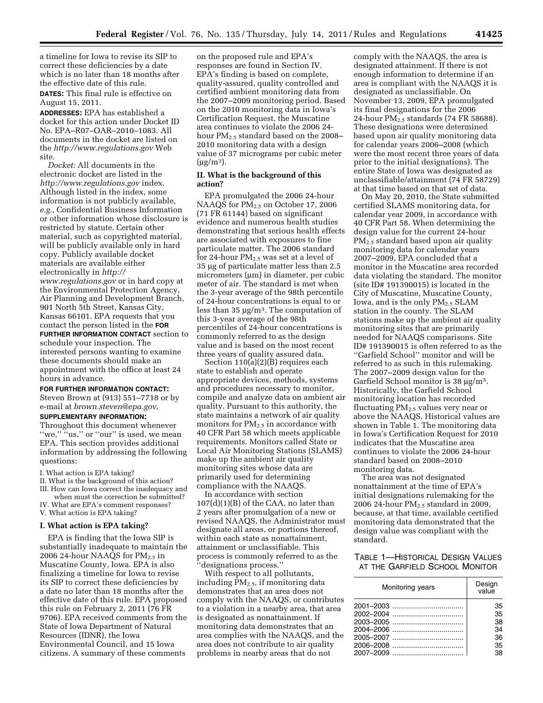a timeline for Iowa to revise its SIP to correct these deficiencies by a date which is no later than 18 months after the effective date of this rule.

**DATES:** This final rule is effective on August 15, 2011.

**ADDRESSES:** EPA has established a docket for this action under Docket ID No. EPA–R07–OAR–2010–1083. All documents in the docket are listed on the *<http://www.regulations.gov>*Web site.

*Docket:* All documents in the electronic docket are listed in the *<http://www.regulations.gov>* index. Although listed in the index, some information is not publicly available, *e.g.,* Confidential Business Information or other information whose disclosure is restricted by statute. Certain other material, such as copyrighted material, will be publicly available only in hard copy. Publicly available docket materials are available either electronically in *[http://](http://www.regulations.gov) [www.regulations.gov](http://www.regulations.gov)* or in hard copy at the Environmental Protection Agency, Air Planning and Development Branch, 901 North 5th Street, Kansas City, Kansas 66101. EPA requests that you contact the person listed in the **FOR FURTHER INFORMATION CONTACT** section to schedule your inspection. The interested persons wanting to examine these documents should make an appointment with the office at least 24 hours in advance.

# **FOR FURTHER INFORMATION CONTACT:**

Steven Brown at (913) 551–7718 or by e-mail at *[brown.steven@epa.gov](mailto:brown.steven@epa.gov)*.

# **SUPPLEMENTARY INFORMATION:**

Throughout this document whenever "we," "us," or "our" is used, we mean EPA. This section provides additional information by addressing the following questions:

- I. What action is EPA taking?
- II. What is the background of this action?
- III. How can Iowa correct the inadequacy and when must the correction be submitted?
- IV. What are EPA's comment responses? V. What action is EPA taking?

#### **I. What action is EPA taking?**

EPA is finding that the Iowa SIP is substantially inadequate to maintain the 2006 24-hour NAAQS for  $PM_{2.5}$  in Muscatine County, Iowa. EPA is also finalizing a timeline for Iowa to revise its SIP to correct these deficiencies by a date no later than 18 months after the effective date of this rule. EPA proposed this rule on February 2, 2011 (76 FR 9706). EPA received comments from the State of Iowa Department of Natural Resources (IDNR), the Iowa Environmental Council, and 15 Iowa citizens. A summary of these comments

on the proposed rule and EPA's responses are found in Section IV. EPA's finding is based on complete, quality-assured, quality controlled and certified ambient monitoring data from the 2007–2009 monitoring period. Based on the 2010 monitoring data in Iowa's Certification Request, the Muscatine area continues to violate the 2006 24 hour PM<sub>2.5</sub> standard based on the 2008– 2010 monitoring data with a design value of 37 micrograms per cubic meter  $(\mu g/m^3)$ .

## **II. What is the background of this action?**

EPA promulgated the 2006 24-hour NAAQS for  $\overline{PM}_{2.5}$  on October 17, 2006 (71 FR 61144) based on significant evidence and numerous health studies demonstrating that serious health effects are associated with exposures to fine particulate matter. The 2006 standard for 24-hour  $PM_{2.5}$  was set at a level of 35 μg of particulate matter less than 2.5 micrometers (μm) in diameter, per cubic meter of air. The standard is met when the 3-year average of the 98th percentile of 24-hour concentrations is equal to or less than 35 μg/m3. The computation of this 3-year average of the 98th percentiles of 24-hour concentrations is commonly referred to as the design value and is based on the most recent three years of quality assured data.

Section 110(a)(2)(B) requires each state to establish and operate appropriate devices, methods, systems and procedures necessary to monitor, compile and analyze data on ambient air quality. Pursuant to this authority, the state maintains a network of air quality monitors for  $PM_{2.5}$  in accordance with 40 CFR Part 58 which meets applicable requirements. Monitors called State or Local Air Monitoring Stations (SLAMS) make up the ambient air quality monitoring sites whose data are primarily used for determining compliance with the NAAQS.

In accordance with section 107(d)(1)(B) of the CAA, no later than 2 years after promulgation of a new or revised NAAQS, the Administrator must designate all areas, or portions thereof, within each state as nonattainment, attainment or unclassifiable. This process is commonly referred to as the designations process."

With respect to all pollutants, including  $PM_{2.5}$ , if monitoring data demonstrates that an area does not comply with the NAAQS, or contributes to a violation in a nearby area, that area is designated as nonattainment. If monitoring data demonstrates that an area complies with the NAAQS, and the area does not contribute to air quality problems in nearby areas that do not

comply with the NAAQS, the area is designated attainment. If there is not enough information to determine if an area is compliant with the NAAQS it is designated as unclassifiable. On November 13, 2009, EPA promulgated its final designations for the 2006 24-hour  $PM_{2.5}$  standards (74 FR 58688). These designations were determined based upon air quality monitoring data for calendar years 2006–2008 (which were the most recent three years of data prior to the initial designations). The entire State of Iowa was designated as unclassifiable/attainment (74 FR 58729) at that time based on that set of data.

On May 20, 2010, the State submitted certified SLAMS monitoring data, for calendar year 2009, in accordance with 40 CFR Part 58. When determining the design value for the current 24-hour PM2.5 standard based upon air quality monitoring data for calendar years 2007–2009, EPA concluded that a monitor in the Muscatine area recorded data violating the standard. The monitor (site ID# 191390015) is located in the City of Muscatine, Muscatine County, Iowa, and is the only  $PM_{2.5}$  SLAM station in the county. The SLAM stations make up the ambient air quality monitoring sites that are primarily needed for NAAQS comparisons. Site ID# 191390015 is often referred to as the ''Garfield School'' monitor and will be referred to as such in this rulemaking. The 2007–2009 design value for the Garfield School monitor is 38 μg/m3. Historically, the Garfield School monitoring location has recorded fluctuating  $PM_{2.5}$  values very near or above the NAAQS. Historical values are shown in Table 1. The monitoring data in Iowa's Certification Request for 2010 indicates that the Muscatine area continues to violate the 2006 24-hour standard based on 2008–2010 monitoring data.

The area was not designated nonattainment at the time of EPA's initial designations rulemaking for the 2006 24-hour  $PM<sub>2.5</sub>$  standard in 2009, because, at that time, available certified monitoring data demonstrated that the design value was compliant with the standard.

## TABLE 1—HISTORICAL DESIGN VALUES AT THE GARFIELD SCHOOL MONITOR

| Monitoring years | Design<br>value |
|------------------|-----------------|
|                  | 35              |
|                  | 35              |
|                  | 38              |
|                  | 34              |
|                  | 36              |
|                  | 35              |
|                  | 38              |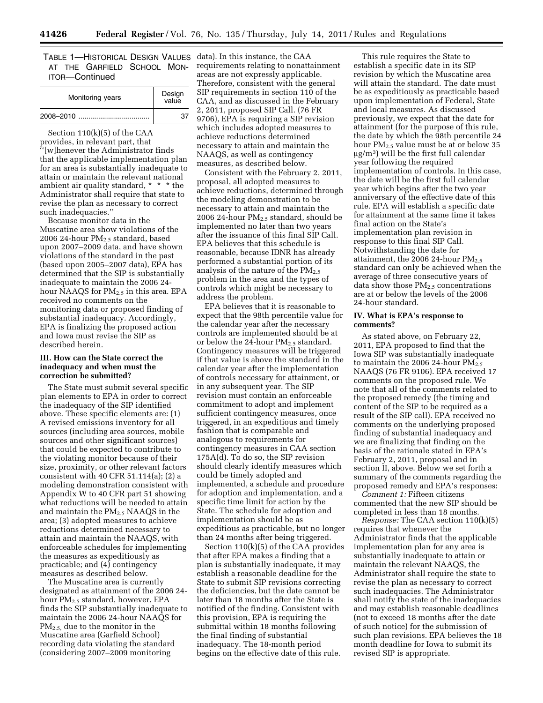TABLE 1—HISTORICAL DESIGN VALUES data). In this instance, the CAA AT THE GARFIELD SCHOOL MON-ITOR—Continued

| Monitoring years | Design<br>value |
|------------------|-----------------|
|                  |                 |

Section 110(k)(5) of the CAA provides, in relevant part, that '[w]henever the Administrator finds that the applicable implementation plan for an area is substantially inadequate to attain or maintain the relevant national ambient air quality standard, \* \* \* the Administrator shall require that state to revise the plan as necessary to correct such inadequacies.''

Because monitor data in the Muscatine area show violations of the 2006 24-hour  $PM<sub>2.5</sub>$  standard, based upon 2007–2009 data, and have shown violations of the standard in the past (based upon 2005–2007 data), EPA has determined that the SIP is substantially inadequate to maintain the 2006 24 hour NAAQS for  $PM_{2.5}$  in this area. EPA received no comments on the monitoring data or proposed finding of substantial inadequacy. Accordingly, EPA is finalizing the proposed action and Iowa must revise the SIP as described herein.

## **III. How can the State correct the inadequacy and when must the correction be submitted?**

The State must submit several specific plan elements to EPA in order to correct the inadequacy of the SIP identified above. These specific elements are: (1) A revised emissions inventory for all sources (including area sources, mobile sources and other significant sources) that could be expected to contribute to the violating monitor because of their size, proximity, or other relevant factors consistent with 40 CFR 51.114(a); (2) a modeling demonstration consistent with Appendix W to 40 CFR part 51 showing what reductions will be needed to attain and maintain the  $PM_{2.5}$  NAAQS in the area; (3) adopted measures to achieve reductions determined necessary to attain and maintain the NAAQS, with enforceable schedules for implementing the measures as expeditiously as practicable; and (4) contingency measures as described below.

The Muscatine area is currently designated as attainment of the 2006 24 hour PM2.5 standard, however, EPA finds the SIP substantially inadequate to maintain the 2006 24-hour NAAQS for PM2.5, due to the monitor in the Muscatine area (Garfield School) recording data violating the standard (considering 2007–2009 monitoring

requirements relating to nonattainment areas are not expressly applicable. Therefore, consistent with the general SIP requirements in section 110 of the CAA, and as discussed in the February 2, 2011, proposed SIP Call. (76 FR 9706), EPA is requiring a SIP revision which includes adopted measures to achieve reductions determined necessary to attain and maintain the NAAQS, as well as contingency measures, as described below.

Consistent with the February 2, 2011, proposal, all adopted measures to achieve reductions, determined through the modeling demonstration to be necessary to attain and maintain the 2006 24-hour  $PM_{2.5}$  standard, should be implemented no later than two years after the issuance of this final SIP Call. EPA believes that this schedule is reasonable, because IDNR has already performed a substantial portion of its analysis of the nature of the  $PM_{2.5}$ problem in the area and the types of controls which might be necessary to address the problem.

EPA believes that it is reasonable to expect that the 98th percentile value for the calendar year after the necessary controls are implemented should be at or below the 24-hour  $PM_{2.5}$  standard. Contingency measures will be triggered if that value is above the standard in the calendar year after the implementation of controls necessary for attainment, or in any subsequent year. The SIP revision must contain an enforceable commitment to adopt and implement sufficient contingency measures, once triggered, in an expeditious and timely fashion that is comparable and analogous to requirements for contingency measures in CAA section 175A(d). To do so, the SIP revision should clearly identify measures which could be timely adopted and implemented, a schedule and procedure for adoption and implementation, and a specific time limit for action by the State. The schedule for adoption and implementation should be as expeditious as practicable, but no longer than 24 months after being triggered.

Section 110(k)(5) of the CAA provides that after EPA makes a finding that a plan is substantially inadequate, it may establish a reasonable deadline for the State to submit SIP revisions correcting the deficiencies, but the date cannot be later than 18 months after the State is notified of the finding. Consistent with this provision, EPA is requiring the submittal within 18 months following the final finding of substantial inadequacy. The 18-month period begins on the effective date of this rule.

This rule requires the State to establish a specific date in its SIP revision by which the Muscatine area will attain the standard. The date must be as expeditiously as practicable based upon implementation of Federal, State and local measures. As discussed previously, we expect that the date for attainment (for the purpose of this rule, the date by which the 98th percentile 24 hour PM2.5 value must be at or below 35 μg/m3) will be the first full calendar year following the required implementation of controls. In this case, the date will be the first full calendar year which begins after the two year anniversary of the effective date of this rule. EPA will establish a specific date for attainment at the same time it takes final action on the State's implementation plan revision in response to this final SIP Call. Notwithstanding the date for attainment, the 2006 24-hour  $PM_{2.5}$ standard can only be achieved when the average of three consecutive years of data show those  $PM_{2.5}$  concentrations are at or below the levels of the 2006 24-hour standard.

## **IV. What is EPA's response to comments?**

As stated above, on February 22, 2011, EPA proposed to find that the Iowa SIP was substantially inadequate to maintain the 2006 24-hour  $PM_{2.5}$ NAAQS (76 FR 9106). EPA received 17 comments on the proposed rule. We note that all of the comments related to the proposed remedy (the timing and content of the SIP to be required as a result of the SIP call). EPA received no comments on the underlying proposed finding of substantial inadequacy and we are finalizing that finding on the basis of the rationale stated in EPA's February 2, 2011, proposal and in section II, above. Below we set forth a summary of the comments regarding the proposed remedy and EPA's responses:

*Comment 1:* Fifteen citizens commented that the new SIP should be completed in less than 18 months.

*Response:* The CAA section 110(k)(5) requires that whenever the Administrator finds that the applicable implementation plan for any area is substantially inadequate to attain or maintain the relevant NAAQS, the Administrator shall require the state to revise the plan as necessary to correct such inadequacies. The Administrator shall notify the state of the inadequacies and may establish reasonable deadlines (not to exceed 18 months after the date of such notice) for the submission of such plan revisions. EPA believes the 18 month deadline for Iowa to submit its revised SIP is appropriate.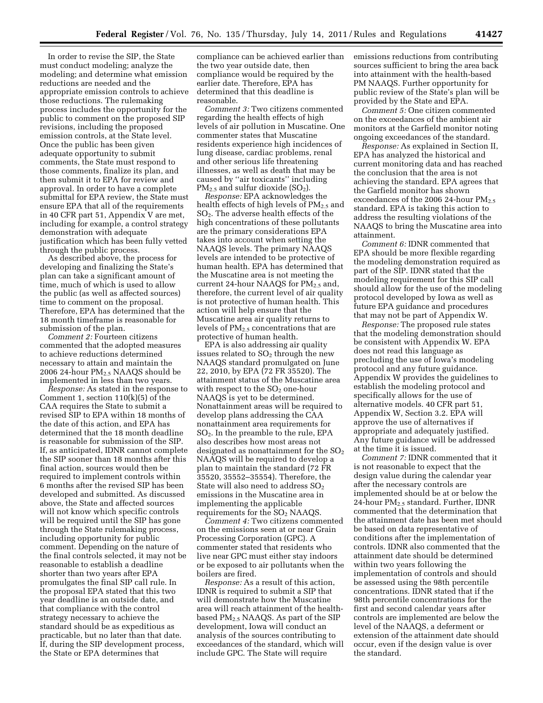In order to revise the SIP, the State must conduct modeling; analyze the modeling; and determine what emission reductions are needed and the appropriate emission controls to achieve those reductions. The rulemaking process includes the opportunity for the public to comment on the proposed SIP revisions, including the proposed emission controls, at the State level. Once the public has been given adequate opportunity to submit comments, the State must respond to those comments, finalize its plan, and then submit it to EPA for review and approval. In order to have a complete submittal for EPA review, the State must ensure EPA that all of the requirements in 40 CFR part 51, Appendix V are met, including for example, a control strategy demonstration with adequate justification which has been fully vetted through the public process.

As described above, the process for developing and finalizing the State's plan can take a significant amount of time, much of which is used to allow the public (as well as affected sources) time to comment on the proposal. Therefore, EPA has determined that the 18 month timeframe is reasonable for submission of the plan.

*Comment 2:* Fourteen citizens commented that the adopted measures to achieve reductions determined necessary to attain and maintain the 2006 24-hour  $PM<sub>2.5</sub> NAAQS$  should be implemented in less than two years.

*Response:* As stated in the response to Comment 1, section 110(k)(5) of the CAA requires the State to submit a revised SIP to EPA within 18 months of the date of this action, and EPA has determined that the 18 month deadline is reasonable for submission of the SIP. If, as anticipated, IDNR cannot complete the SIP sooner than 18 months after this final action, sources would then be required to implement controls within 6 months after the revised SIP has been developed and submitted. As discussed above, the State and affected sources will not know which specific controls will be required until the SIP has gone through the State rulemaking process, including opportunity for public comment. Depending on the nature of the final controls selected, it may not be reasonable to establish a deadline shorter than two years after EPA promulgates the final SIP call rule. In the proposal EPA stated that this two year deadline is an outside date, and that compliance with the control strategy necessary to achieve the standard should be as expeditious as practicable, but no later than that date. If, during the SIP development process, the State or EPA determines that

compliance can be achieved earlier than the two year outside date, then compliance would be required by the earlier date. Therefore, EPA has determined that this deadline is reasonable.

*Comment 3:* Two citizens commented regarding the health effects of high levels of air pollution in Muscatine. One commenter states that Muscatine residents experience high incidences of lung disease, cardiac problems, renal and other serious life threatening illnesses, as well as death that may be caused by ''air toxicants'' including  $PM_{2.5}$  and sulfur dioxide (SO<sub>2</sub>).

*Response:* EPA acknowledges the health effects of high levels of  $PM_{2.5}$  and SO2. The adverse health effects of the high concentrations of these pollutants are the primary considerations EPA takes into account when setting the NAAQS levels. The primary NAAQS levels are intended to be protective of human health. EPA has determined that the Muscatine area is not meeting the current 24-hour NAAQS for  $PM_{2.5}$  and, therefore, the current level of air quality is not protective of human health. This action will help ensure that the Muscatine area air quality returns to levels of PM2.5 concentrations that are protective of human health.

EPA is also addressing air quality issues related to  $SO<sub>2</sub>$  through the new NAAQS standard promulgated on June 22, 2010, by EPA (72 FR 35520). The attainment status of the Muscatine area with respect to the  $SO<sub>2</sub>$  one-hour NAAQS is yet to be determined. Nonattainment areas will be required to develop plans addressing the CAA nonattainment area requirements for SO2. In the preamble to the rule, EPA also describes how most areas not designated as nonattainment for the  $SO<sub>2</sub>$ NAAQS will be required to develop a plan to maintain the standard (72 FR 35520, 35552–35554). Therefore, the State will also need to address  $SO<sub>2</sub>$ emissions in the Muscatine area in implementing the applicable requirements for the  $SO<sub>2</sub>$  NAAQS.

*Comment 4:* Two citizens commented on the emissions seen at or near Grain Processing Corporation (GPC). A commenter stated that residents who live near GPC must either stay indoors or be exposed to air pollutants when the boilers are fired.

*Response:* As a result of this action, IDNR is required to submit a SIP that will demonstrate how the Muscatine area will reach attainment of the healthbased PM2.5 NAAQS. As part of the SIP development, Iowa will conduct an analysis of the sources contributing to exceedances of the standard, which will include GPC. The State will require

emissions reductions from contributing sources sufficient to bring the area back into attainment with the health-based PM NAAQS. Further opportunity for public review of the State's plan will be provided by the State and EPA.

*Comment 5:* One citizen commented on the exceedances of the ambient air monitors at the Garfield monitor noting ongoing exceedances of the standard.

*Response:* As explained in Section II, EPA has analyzed the historical and current monitoring data and has reached the conclusion that the area is not achieving the standard. EPA agrees that the Garfield monitor has shown exceedances of the 2006 24-hour  $PM_{2.5}$ standard. EPA is taking this action to address the resulting violations of the NAAQS to bring the Muscatine area into attainment.

*Comment 6:* IDNR commented that EPA should be more flexible regarding the modeling demonstration required as part of the SIP. IDNR stated that the modeling requirement for this SIP call should allow for the use of the modeling protocol developed by Iowa as well as future EPA guidance and procedures that may not be part of Appendix W.

*Response:* The proposed rule states that the modeling demonstration should be consistent with Appendix W. EPA does not read this language as precluding the use of Iowa's modeling protocol and any future guidance. Appendix W provides the guidelines to establish the modeling protocol and specifically allows for the use of alternative models. 40 CFR part 51, Appendix W, Section 3.2. EPA will approve the use of alternatives if appropriate and adequately justified. Any future guidance will be addressed at the time it is issued.

*Comment 7:* IDNR commented that it is not reasonable to expect that the design value during the calendar year after the necessary controls are implemented should be at or below the 24-hour PM2.5 standard. Further, IDNR commented that the determination that the attainment date has been met should be based on data representative of conditions after the implementation of controls. IDNR also commented that the attainment date should be determined within two years following the implementation of controls and should be assessed using the 98th percentile concentrations. IDNR stated that if the 98th percentile concentrations for the first and second calendar years after controls are implemented are below the level of the NAAQS, a deferment or extension of the attainment date should occur, even if the design value is over the standard.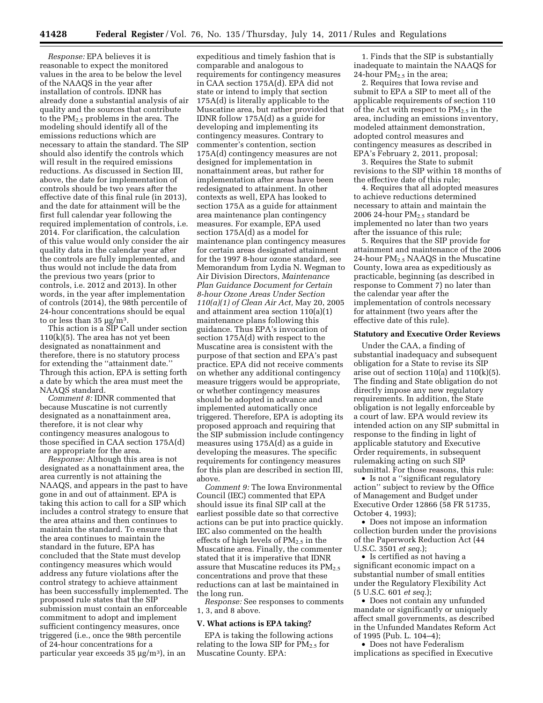*Response:* EPA believes it is reasonable to expect the monitored values in the area to be below the level of the NAAQS in the year after installation of controls. IDNR has already done a substantial analysis of air quality and the sources that contribute to the  $PM_{2,5}$  problems in the area. The modeling should identify all of the emissions reductions which are necessary to attain the standard. The SIP should also identify the controls which will result in the required emissions reductions. As discussed in Section III, above, the date for implementation of controls should be two years after the effective date of this final rule (in 2013), and the date for attainment will be the first full calendar year following the required implementation of controls, i.e. 2014. For clarification, the calculation of this value would only consider the air quality data in the calendar year after the controls are fully implemented, and thus would not include the data from the previous two years (prior to controls, i.e. 2012 and 2013). In other words, in the year after implementation of controls (2014), the 98th percentile of 24-hour concentrations should be equal to or less than  $35 \mu g/m^3$ .

This action is a SIP Call under section  $110(k)(5)$ . The area has not yet been designated as nonattainment and therefore, there is no statutory process for extending the ''attainment date.'' Through this action, EPA is setting forth a date by which the area must meet the NAAQS standard.

*Comment 8:* IDNR commented that because Muscatine is not currently designated as a nonattainment area, therefore, it is not clear why contingency measures analogous to those specified in CAA section 175A(d) are appropriate for the area.

*Response:* Although this area is not designated as a nonattainment area, the area currently is not attaining the NAAQS, and appears in the past to have gone in and out of attainment. EPA is taking this action to call for a SIP which includes a control strategy to ensure that the area attains and then continues to maintain the standard. To ensure that the area continues to maintain the standard in the future, EPA has concluded that the State must develop contingency measures which would address any future violations after the control strategy to achieve attainment has been successfully implemented. The proposed rule states that the SIP submission must contain an enforceable commitment to adopt and implement sufficient contingency measures, once triggered (i.e., once the 98th percentile of 24-hour concentrations for a particular year exceeds 35 μg/m3), in an

expeditious and timely fashion that is comparable and analogous to requirements for contingency measures in CAA section 175A(d). EPA did not state or intend to imply that section 175A(d) is literally applicable to the Muscatine area, but rather provided that IDNR follow 175A(d) as a guide for developing and implementing its contingency measures. Contrary to commenter's contention, section 175A(d) contingency measures are not designed for implementation in nonattainment areas, but rather for implementation after areas have been redesignated to attainment. In other contexts as well, EPA has looked to section 175A as a guide for attainment area maintenance plan contingency measures. For example, EPA used section 175A(d) as a model for maintenance plan contingency measures for certain areas designated attainment for the 1997 8-hour ozone standard, see Memorandum from Lydia N. Wegman to Air Division Directors, *Maintenance Plan Guidance Document for Certain 8-hour Ozone Areas Under Section 110(a)(1) of Clean Air Act,* May 20, 2005 and attainment area section 110(a)(1) maintenance plans following this guidance. Thus EPA's invocation of section 175A(d) with respect to the Muscatine area is consistent with the purpose of that section and EPA's past practice. EPA did not receive comments on whether any additional contingency measure triggers would be appropriate, or whether contingency measures should be adopted in advance and implemented automatically once triggered. Therefore, EPA is adopting its proposed approach and requiring that the SIP submission include contingency measures using 175A(d) as a guide in developing the measures. The specific requirements for contingency measures for this plan are described in section III, above.

*Comment 9:* The Iowa Environmental Council (IEC) commented that EPA should issue its final SIP call at the earliest possible date so that corrective actions can be put into practice quickly. IEC also commented on the health effects of high levels of  $PM_{2.5}$  in the Muscatine area. Finally, the commenter stated that it is imperative that IDNR assure that Muscatine reduces its  $PM_{2.5}$ concentrations and prove that these reductions can at last be maintained in the long run.

*Response:* See responses to comments 1, 3, and 8 above.

#### **V. What actions is EPA taking?**

EPA is taking the following actions relating to the Iowa SIP for  $PM_{2.5}$  for Muscatine County. EPA:

1. Finds that the SIP is substantially inadequate to maintain the NAAQS for 24-hour  $PM_{2.5}$  in the area;

2. Requires that Iowa revise and submit to EPA a SIP to meet all of the applicable requirements of section 110 of the Act with respect to  $PM_{2.5}$  in the area, including an emissions inventory, modeled attainment demonstration, adopted control measures and contingency measures as described in EPA's February 2, 2011, proposal;

3. Requires the State to submit revisions to the SIP within 18 months of the effective date of this rule;

4. Requires that all adopted measures to achieve reductions determined necessary to attain and maintain the 2006 24-hour  $PM<sub>2.5</sub>$  standard be implemented no later than two years after the issuance of this rule;

5. Requires that the SIP provide for attainment and maintenance of the 2006 24-hour PM2.5 NAAQS in the Muscatine County, Iowa area as expeditiously as practicable, beginning (as described in response to Comment 7) no later than the calendar year after the implementation of controls necessary for attainment (two years after the effective date of this rule).

#### **Statutory and Executive Order Reviews**

Under the CAA, a finding of substantial inadequacy and subsequent obligation for a State to revise its SIP arise out of section 110(a) and 110(k)(5). The finding and State obligation do not directly impose any new regulatory requirements. In addition, the State obligation is not legally enforceable by a court of law. EPA would review its intended action on any SIP submittal in response to the finding in light of applicable statutory and Executive Order requirements, in subsequent rulemaking acting on such SIP submittal. For those reasons, this rule:

• Is not a ''significant regulatory action'' subject to review by the Office of Management and Budget under Executive Order 12866 (58 FR 51735, October 4, 1993);

• Does not impose an information collection burden under the provisions of the Paperwork Reduction Act (44 U.S.C. 3501 *et seq.*);

• Is certified as not having a significant economic impact on a substantial number of small entities under the Regulatory Flexibility Act (5 U.S.C. 601 *et seq.*);

• Does not contain any unfunded mandate or significantly or uniquely affect small governments, as described in the Unfunded Mandates Reform Act of 1995 (Pub. L. 104–4);

• Does not have Federalism implications as specified in Executive